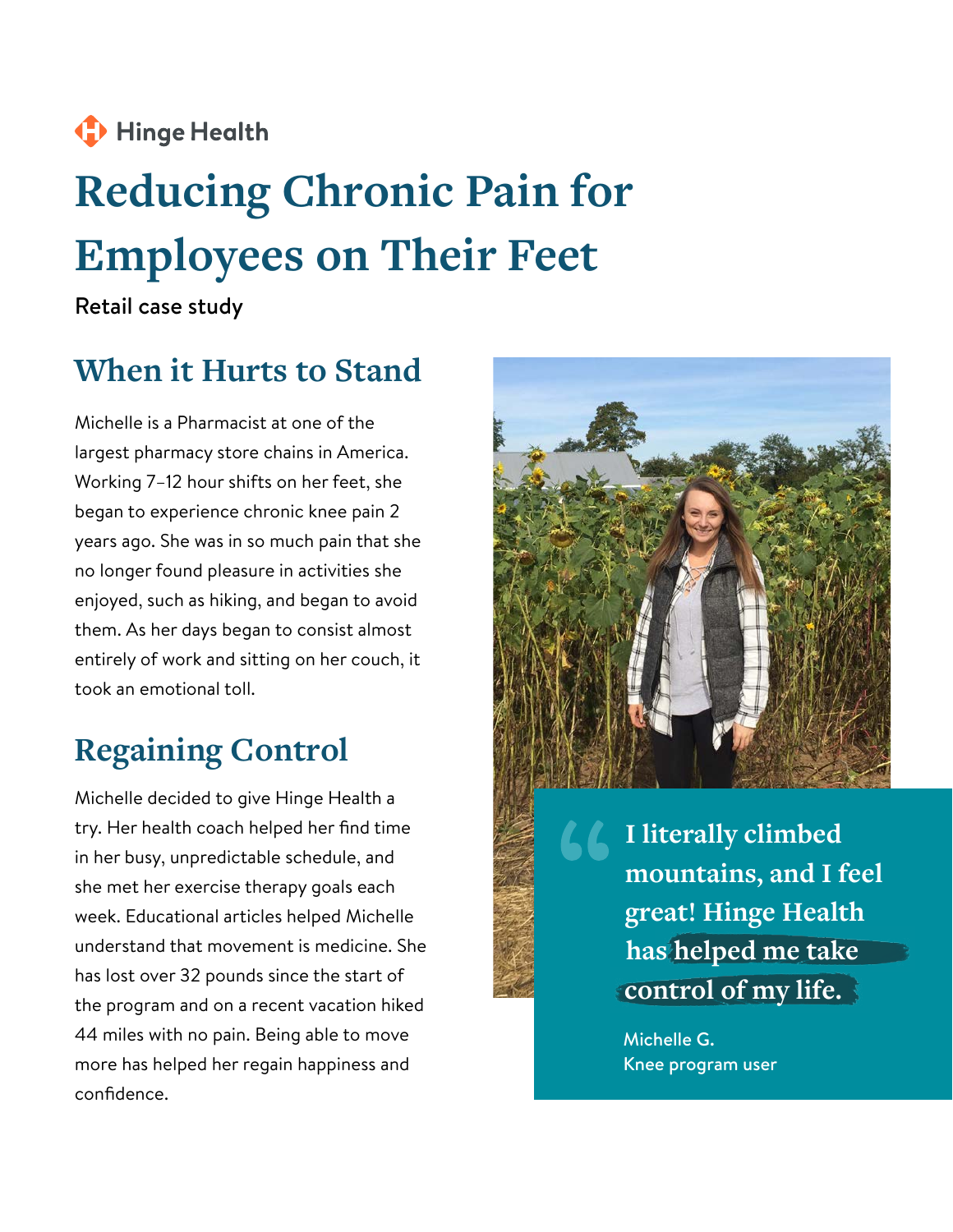### Hinge Health

# **Reducing Chronic Pain for Employees on Their Feet**

Retail case study

### **When it Hurts to Stand**

Michelle is a Pharmacist at one of the largest pharmacy store chains in America. Working 7–12 hour shifts on her feet, she began to experience chronic knee pain 2 years ago. She was in so much pain that she no longer found pleasure in activities she enjoyed, such as hiking, and began to avoid them. As her days began to consist almost entirely of work and sitting on her couch, it took an emotional toll.

## **Regaining Control**

Michelle decided to give Hinge Health a try. Her health coach helped her find time in her busy, unpredictable schedule, and she met her exercise therapy goals each week. Educational articles helped Michelle understand that movement is medicine. She has lost over 32 pounds since the start of the program and on a recent vacation hiked 44 miles with no pain. Being able to move more has helped her regain happiness and confidence.



**I literally climbed mountains, and I feel great! Hinge Health has helped me take control of my life.**

Michelle G. Knee program user